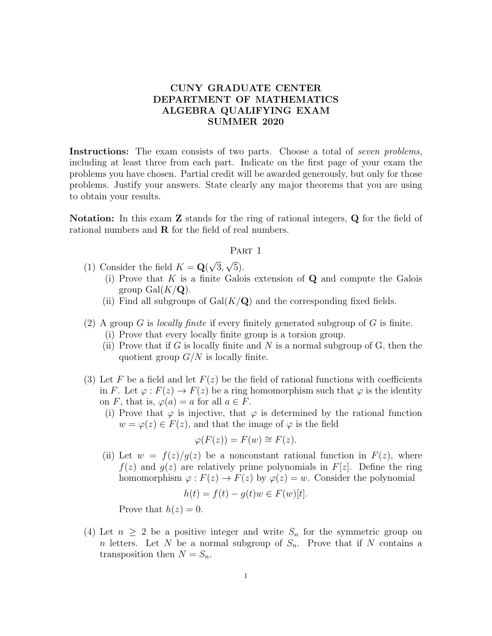## CUNY GRADUATE CENTER DEPARTMENT OF MATHEMATICS ALGEBRA QUALIFYING EXAM SUMMER 2020

Instructions: The exam consists of two parts. Choose a total of *seven problems*, including at least three from each part. Indicate on the first page of your exam the problems you have chosen. Partial credit will be awarded generously, but only for those problems. Justify your answers. State clearly any major theorems that you are using to obtain your results.

Notation: In this exam Z stands for the ring of rational integers, Q for the field of rational numbers and R for the field of real numbers.

## PART 1

- (1) Consider the field  $K = \mathbf{Q}$ √ 3, √ 5).
	- (i) Prove that  $K$  is a finite Galois extension of  $Q$  and compute the Galois group  $Gal(K/\mathbf{Q})$ .
	- (ii) Find all subgroups of  $Gal(K/Q)$  and the corresponding fixed fields.
- (2) A group G is *locally finite* if every finitely generated subgroup of G is finite.
	- (i) Prove that every locally finite group is a torsion group.
	- (ii) Prove that if G is locally finite and N is a normal subgroup of G, then the quotient group  $G/N$  is locally finite.
- (3) Let F be a field and let  $F(z)$  be the field of rational functions with coefficients in F. Let  $\varphi: F(z) \to F(z)$  be a ring homomorphism such that  $\varphi$  is the identity on F, that is,  $\varphi(a) = a$  for all  $a \in F$ .
	- (i) Prove that  $\varphi$  is injective, that  $\varphi$  is determined by the rational function  $w = \varphi(z) \in F(z)$ , and that the image of  $\varphi$  is the field

$$
\varphi(F(z)) = F(w) \cong F(z).
$$

(ii) Let  $w = f(z)/g(z)$  be a nonconstant rational function in  $F(z)$ , where  $f(z)$  and  $g(z)$  are relatively prime polynomials in  $F[z]$ . Define the ring homomorphism  $\varphi : F(z) \to F(z)$  by  $\varphi(z) = w$ . Consider the polynomial

$$
h(t) = f(t) - g(t)w \in F(w)[t].
$$

Prove that  $h(z) = 0$ .

(4) Let  $n \geq 2$  be a positive integer and write  $S_n$  for the symmetric group on n letters. Let N be a normal subgroup of  $S_n$ . Prove that if N contains a transposition then  $N = S_n$ .